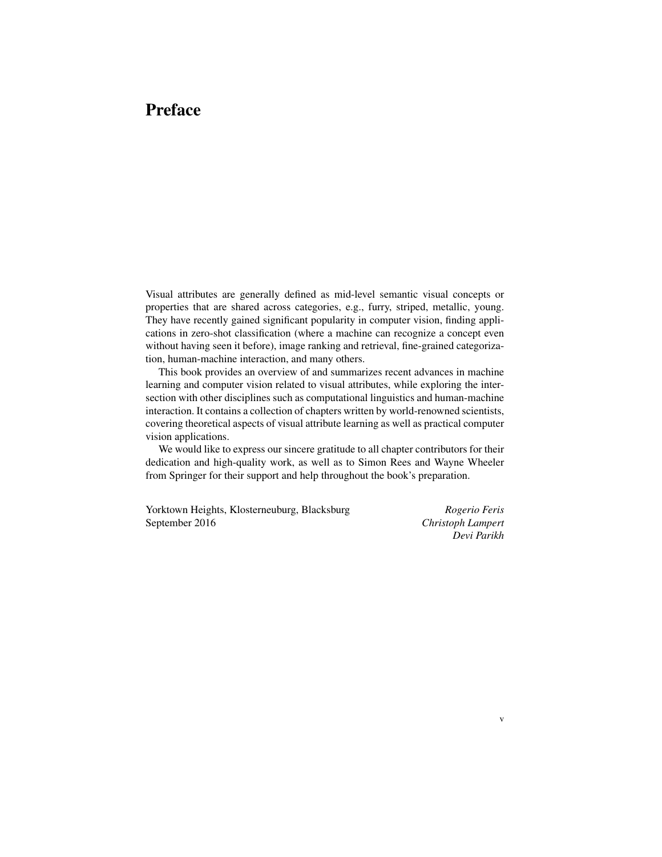## Preface

Visual attributes are generally defined as mid-level semantic visual concepts or properties that are shared across categories, e.g., furry, striped, metallic, young. They have recently gained significant popularity in computer vision, finding applications in zero-shot classification (where a machine can recognize a concept even without having seen it before), image ranking and retrieval, fine-grained categorization, human-machine interaction, and many others.

This book provides an overview of and summarizes recent advances in machine learning and computer vision related to visual attributes, while exploring the intersection with other disciplines such as computational linguistics and human-machine interaction. It contains a collection of chapters written by world-renowned scientists, covering theoretical aspects of visual attribute learning as well as practical computer vision applications.

We would like to express our sincere gratitude to all chapter contributors for their dedication and high-quality work, as well as to Simon Rees and Wayne Wheeler from Springer for their support and help throughout the book's preparation.

Yorktown Heights, Klosterneuburg, Blacksburg *Rogerio Feris* September 2016 *Christoph Lampert Devi Parikh*

v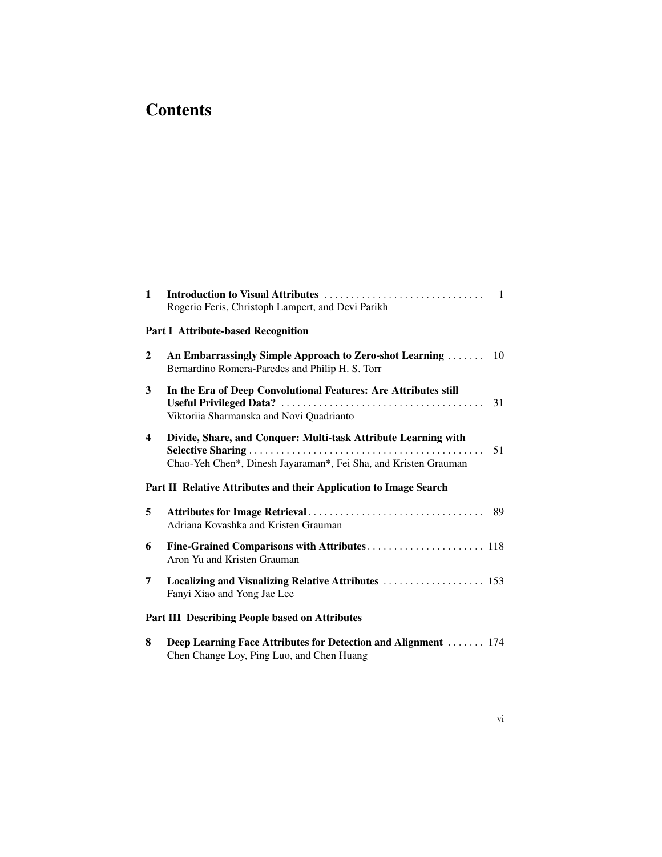# **Contents**

| $\mathbf{1}$            | Rogerio Feris, Christoph Lampert, and Devi Parikh                                                                                       |
|-------------------------|-----------------------------------------------------------------------------------------------------------------------------------------|
|                         | <b>Part I Attribute-based Recognition</b>                                                                                               |
| $\mathbf{2}$            | An Embarrassingly Simple Approach to Zero-shot Learning  10<br>Bernardino Romera-Paredes and Philip H. S. Torr                          |
| 3                       | In the Era of Deep Convolutional Features: Are Attributes still<br>31<br>Viktoriia Sharmanska and Novi Quadrianto                       |
| $\overline{\mathbf{4}}$ | Divide, Share, and Conquer: Multi-task Attribute Learning with<br>51<br>Chao-Yeh Chen*, Dinesh Jayaraman*, Fei Sha, and Kristen Grauman |
|                         | Part II Relative Attributes and their Application to Image Search                                                                       |
| 5                       | Adriana Kovashka and Kristen Grauman                                                                                                    |
| 6                       | Aron Yu and Kristen Grauman                                                                                                             |
| 7                       | Fanyi Xiao and Yong Jae Lee                                                                                                             |
|                         | <b>Part III Describing People based on Attributes</b>                                                                                   |
| 8                       | Deep Learning Face Attributes for Detection and Alignment  174                                                                          |

Chen Change Loy, Ping Luo, and Chen Huang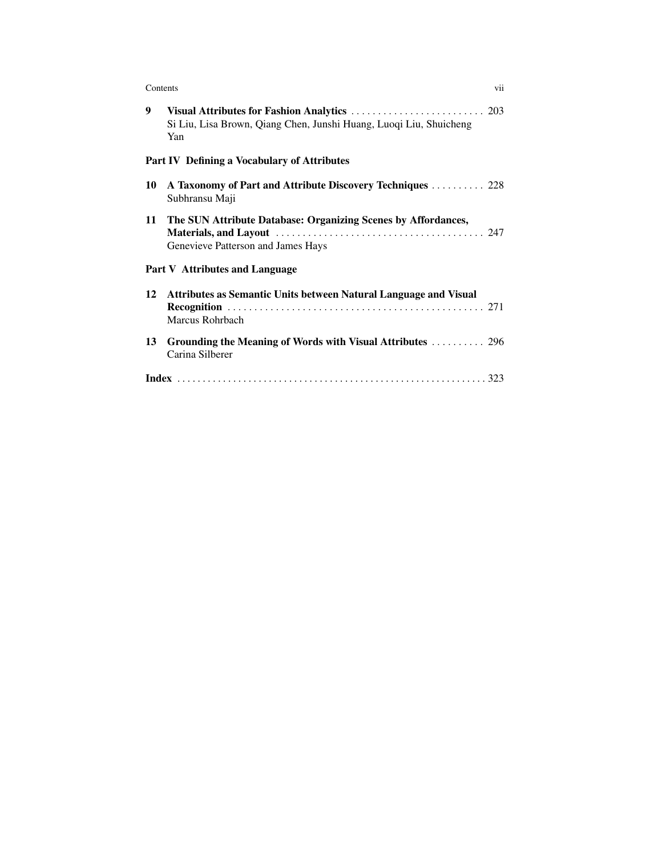| Contents | vii                                                                                                 |
|----------|-----------------------------------------------------------------------------------------------------|
| 9        | Si Liu, Lisa Brown, Qiang Chen, Junshi Huang, Luoqi Liu, Shuicheng<br>Yan                           |
|          | <b>Part IV Defining a Vocabulary of Attributes</b>                                                  |
| 10       | A Taxonomy of Part and Attribute Discovery Techniques  228<br>Subhransu Maji                        |
| 11       | The SUN Attribute Database: Organizing Scenes by Affordances,<br>Genevieve Patterson and James Hays |
|          | <b>Part V</b> Attributes and Language                                                               |
| 12       | Attributes as Semantic Units between Natural Language and Visual<br>Marcus Rohrbach                 |
| 13       | Grounding the Meaning of Words with Visual Attributes  296<br>Carina Silberer                       |
|          |                                                                                                     |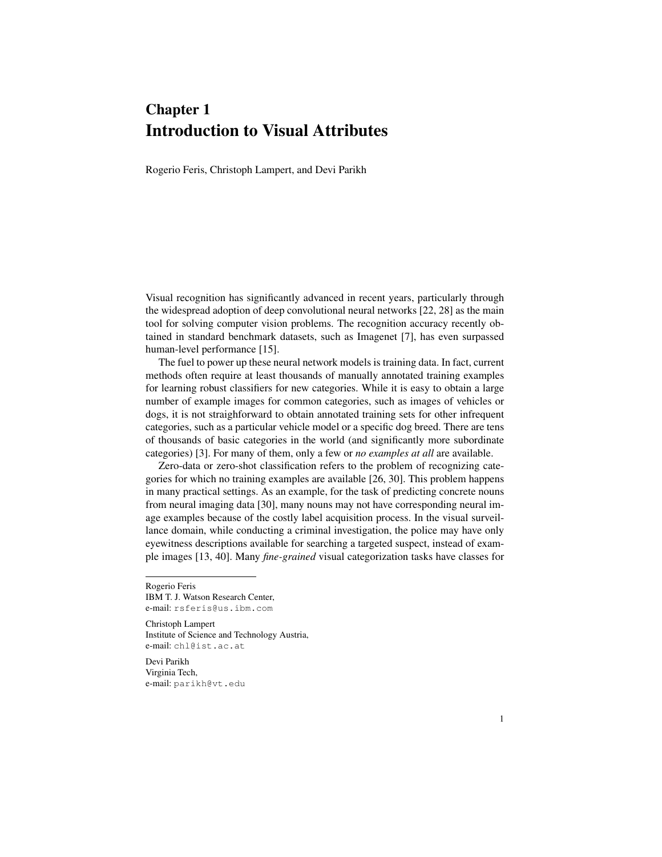# Chapter 1 Introduction to Visual Attributes

Rogerio Feris, Christoph Lampert, and Devi Parikh

Visual recognition has significantly advanced in recent years, particularly through the widespread adoption of deep convolutional neural networks [22, 28] as the main tool for solving computer vision problems. The recognition accuracy recently obtained in standard benchmark datasets, such as Imagenet [7], has even surpassed human-level performance [15].

The fuel to power up these neural network models is training data. In fact, current methods often require at least thousands of manually annotated training examples for learning robust classifiers for new categories. While it is easy to obtain a large number of example images for common categories, such as images of vehicles or dogs, it is not straighforward to obtain annotated training sets for other infrequent categories, such as a particular vehicle model or a specific dog breed. There are tens of thousands of basic categories in the world (and significantly more subordinate categories) [3]. For many of them, only a few or *no examples at all* are available.

Zero-data or zero-shot classification refers to the problem of recognizing categories for which no training examples are available [26, 30]. This problem happens in many practical settings. As an example, for the task of predicting concrete nouns from neural imaging data [30], many nouns may not have corresponding neural image examples because of the costly label acquisition process. In the visual surveillance domain, while conducting a criminal investigation, the police may have only eyewitness descriptions available for searching a targeted suspect, instead of example images [13, 40]. Many *fine-grained* visual categorization tasks have classes for

Rogerio Feris

IBM T. J. Watson Research Center, e-mail: rsferis@us.ibm.com

Christoph Lampert Institute of Science and Technology Austria, e-mail: chl@ist.ac.at

Devi Parikh Virginia Tech, e-mail: parikh@vt.edu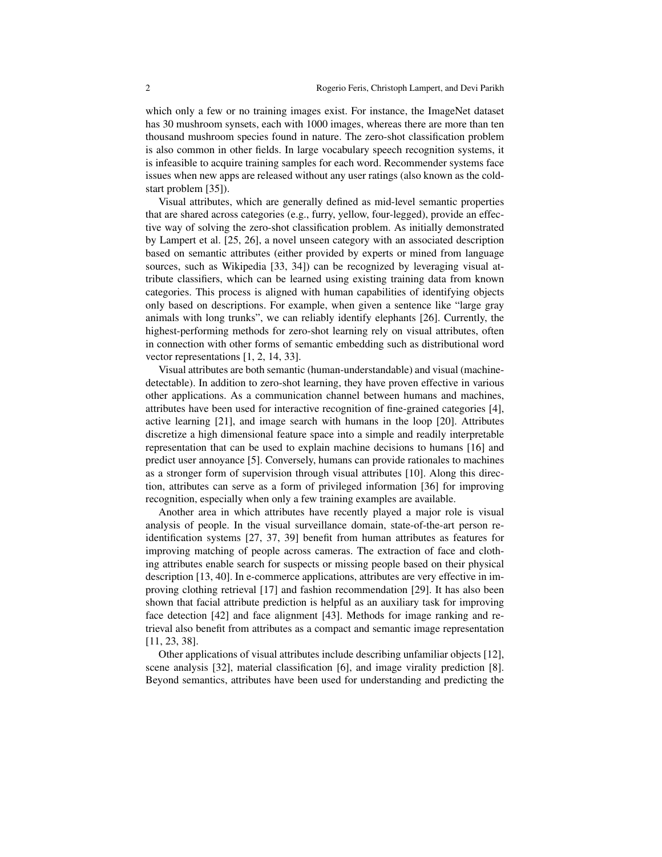which only a few or no training images exist. For instance, the ImageNet dataset has 30 mushroom synsets, each with 1000 images, whereas there are more than ten thousand mushroom species found in nature. The zero-shot classification problem is also common in other fields. In large vocabulary speech recognition systems, it is infeasible to acquire training samples for each word. Recommender systems face issues when new apps are released without any user ratings (also known as the coldstart problem [35]).

Visual attributes, which are generally defined as mid-level semantic properties that are shared across categories (e.g., furry, yellow, four-legged), provide an effective way of solving the zero-shot classification problem. As initially demonstrated by Lampert et al. [25, 26], a novel unseen category with an associated description based on semantic attributes (either provided by experts or mined from language sources, such as Wikipedia [33, 34]) can be recognized by leveraging visual attribute classifiers, which can be learned using existing training data from known categories. This process is aligned with human capabilities of identifying objects only based on descriptions. For example, when given a sentence like "large gray animals with long trunks", we can reliably identify elephants [26]. Currently, the highest-performing methods for zero-shot learning rely on visual attributes, often in connection with other forms of semantic embedding such as distributional word vector representations [1, 2, 14, 33].

Visual attributes are both semantic (human-understandable) and visual (machinedetectable). In addition to zero-shot learning, they have proven effective in various other applications. As a communication channel between humans and machines, attributes have been used for interactive recognition of fine-grained categories [4], active learning [21], and image search with humans in the loop [20]. Attributes discretize a high dimensional feature space into a simple and readily interpretable representation that can be used to explain machine decisions to humans [16] and predict user annoyance [5]. Conversely, humans can provide rationales to machines as a stronger form of supervision through visual attributes [10]. Along this direction, attributes can serve as a form of privileged information [36] for improving recognition, especially when only a few training examples are available.

Another area in which attributes have recently played a major role is visual analysis of people. In the visual surveillance domain, state-of-the-art person reidentification systems [27, 37, 39] benefit from human attributes as features for improving matching of people across cameras. The extraction of face and clothing attributes enable search for suspects or missing people based on their physical description [13, 40]. In e-commerce applications, attributes are very effective in improving clothing retrieval [17] and fashion recommendation [29]. It has also been shown that facial attribute prediction is helpful as an auxiliary task for improving face detection [42] and face alignment [43]. Methods for image ranking and retrieval also benefit from attributes as a compact and semantic image representation [11, 23, 38].

Other applications of visual attributes include describing unfamiliar objects [12], scene analysis [32], material classification [6], and image virality prediction [8]. Beyond semantics, attributes have been used for understanding and predicting the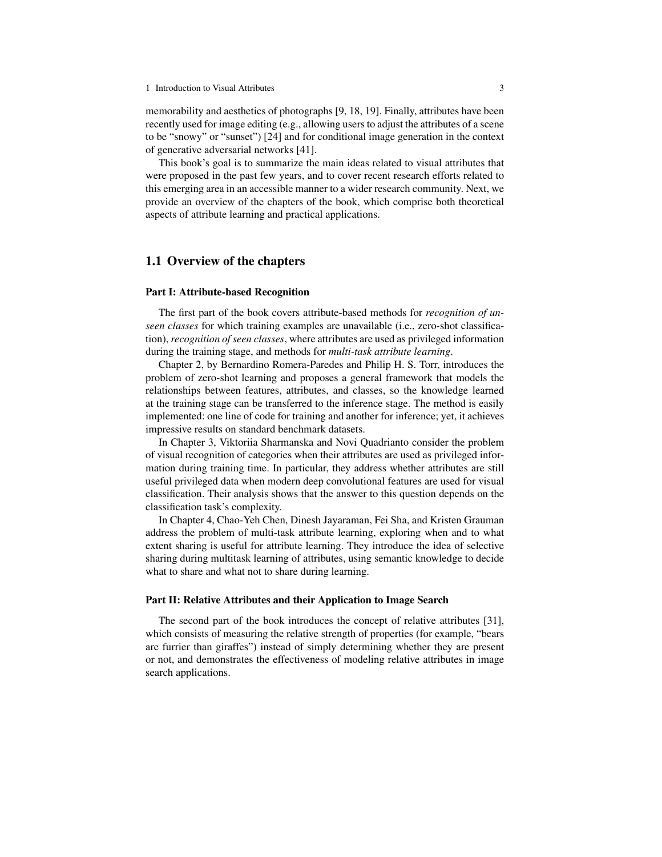memorability and aesthetics of photographs [9, 18, 19]. Finally, attributes have been recently used for image editing (e.g., allowing users to adjust the attributes of a scene to be "snowy" or "sunset") [24] and for conditional image generation in the context of generative adversarial networks [41].

This book's goal is to summarize the main ideas related to visual attributes that were proposed in the past few years, and to cover recent research efforts related to this emerging area in an accessible manner to a wider research community. Next, we provide an overview of the chapters of the book, which comprise both theoretical aspects of attribute learning and practical applications.

### 1.1 Overview of the chapters

#### Part I: Attribute-based Recognition

The first part of the book covers attribute-based methods for *recognition of unseen classes* for which training examples are unavailable (i.e., zero-shot classification), *recognition of seen classes*, where attributes are used as privileged information during the training stage, and methods for *multi-task attribute learning*.

Chapter 2, by Bernardino Romera-Paredes and Philip H. S. Torr, introduces the problem of zero-shot learning and proposes a general framework that models the relationships between features, attributes, and classes, so the knowledge learned at the training stage can be transferred to the inference stage. The method is easily implemented: one line of code for training and another for inference; yet, it achieves impressive results on standard benchmark datasets.

In Chapter 3, Viktoriia Sharmanska and Novi Quadrianto consider the problem of visual recognition of categories when their attributes are used as privileged information during training time. In particular, they address whether attributes are still useful privileged data when modern deep convolutional features are used for visual classification. Their analysis shows that the answer to this question depends on the classification task's complexity.

In Chapter 4, Chao-Yeh Chen, Dinesh Jayaraman, Fei Sha, and Kristen Grauman address the problem of multi-task attribute learning, exploring when and to what extent sharing is useful for attribute learning. They introduce the idea of selective sharing during multitask learning of attributes, using semantic knowledge to decide what to share and what not to share during learning.

#### Part II: Relative Attributes and their Application to Image Search

The second part of the book introduces the concept of relative attributes [31], which consists of measuring the relative strength of properties (for example, "bears are furrier than giraffes") instead of simply determining whether they are present or not, and demonstrates the effectiveness of modeling relative attributes in image search applications.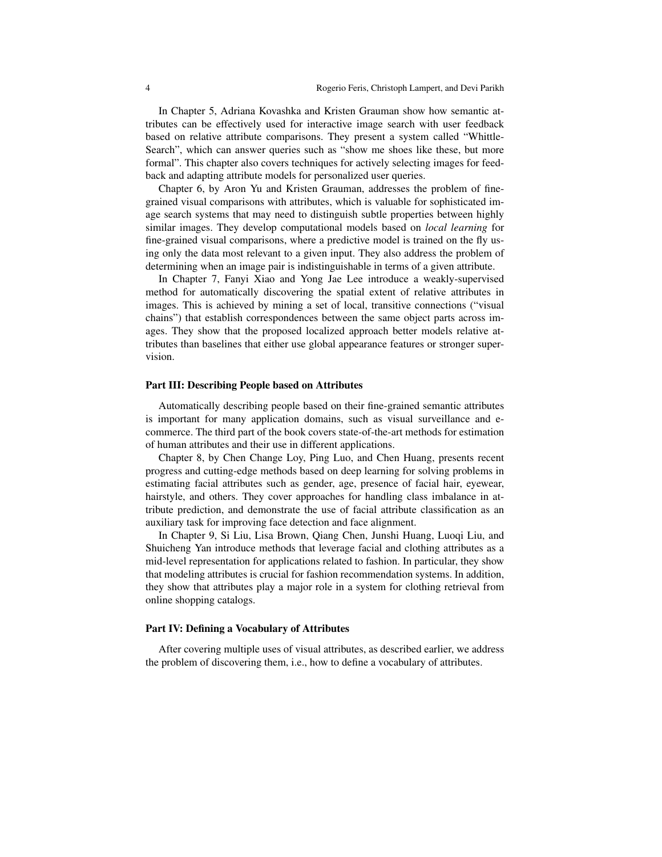In Chapter 5, Adriana Kovashka and Kristen Grauman show how semantic attributes can be effectively used for interactive image search with user feedback based on relative attribute comparisons. They present a system called "Whittle-Search", which can answer queries such as "show me shoes like these, but more formal". This chapter also covers techniques for actively selecting images for feedback and adapting attribute models for personalized user queries.

Chapter 6, by Aron Yu and Kristen Grauman, addresses the problem of finegrained visual comparisons with attributes, which is valuable for sophisticated image search systems that may need to distinguish subtle properties between highly similar images. They develop computational models based on *local learning* for fine-grained visual comparisons, where a predictive model is trained on the fly using only the data most relevant to a given input. They also address the problem of determining when an image pair is indistinguishable in terms of a given attribute.

In Chapter 7, Fanyi Xiao and Yong Jae Lee introduce a weakly-supervised method for automatically discovering the spatial extent of relative attributes in images. This is achieved by mining a set of local, transitive connections ("visual chains") that establish correspondences between the same object parts across images. They show that the proposed localized approach better models relative attributes than baselines that either use global appearance features or stronger supervision.

#### Part III: Describing People based on Attributes

Automatically describing people based on their fine-grained semantic attributes is important for many application domains, such as visual surveillance and ecommerce. The third part of the book covers state-of-the-art methods for estimation of human attributes and their use in different applications.

Chapter 8, by Chen Change Loy, Ping Luo, and Chen Huang, presents recent progress and cutting-edge methods based on deep learning for solving problems in estimating facial attributes such as gender, age, presence of facial hair, eyewear, hairstyle, and others. They cover approaches for handling class imbalance in attribute prediction, and demonstrate the use of facial attribute classification as an auxiliary task for improving face detection and face alignment.

In Chapter 9, Si Liu, Lisa Brown, Qiang Chen, Junshi Huang, Luoqi Liu, and Shuicheng Yan introduce methods that leverage facial and clothing attributes as a mid-level representation for applications related to fashion. In particular, they show that modeling attributes is crucial for fashion recommendation systems. In addition, they show that attributes play a major role in a system for clothing retrieval from online shopping catalogs.

#### Part IV: Defining a Vocabulary of Attributes

After covering multiple uses of visual attributes, as described earlier, we address the problem of discovering them, i.e., how to define a vocabulary of attributes.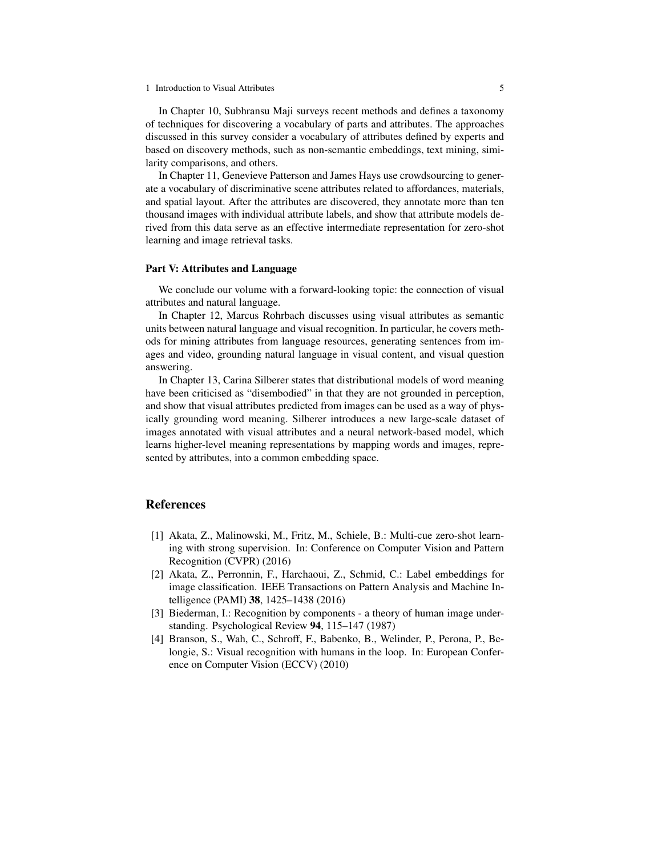#### 1 Introduction to Visual Attributes 5

In Chapter 10, Subhransu Maji surveys recent methods and defines a taxonomy of techniques for discovering a vocabulary of parts and attributes. The approaches discussed in this survey consider a vocabulary of attributes defined by experts and based on discovery methods, such as non-semantic embeddings, text mining, similarity comparisons, and others.

In Chapter 11, Genevieve Patterson and James Hays use crowdsourcing to generate a vocabulary of discriminative scene attributes related to affordances, materials, and spatial layout. After the attributes are discovered, they annotate more than ten thousand images with individual attribute labels, and show that attribute models derived from this data serve as an effective intermediate representation for zero-shot learning and image retrieval tasks.

#### Part V: Attributes and Language

We conclude our volume with a forward-looking topic: the connection of visual attributes and natural language.

In Chapter 12, Marcus Rohrbach discusses using visual attributes as semantic units between natural language and visual recognition. In particular, he covers methods for mining attributes from language resources, generating sentences from images and video, grounding natural language in visual content, and visual question answering.

In Chapter 13, Carina Silberer states that distributional models of word meaning have been criticised as "disembodied" in that they are not grounded in perception, and show that visual attributes predicted from images can be used as a way of physically grounding word meaning. Silberer introduces a new large-scale dataset of images annotated with visual attributes and a neural network-based model, which learns higher-level meaning representations by mapping words and images, represented by attributes, into a common embedding space.

### References

- [1] Akata, Z., Malinowski, M., Fritz, M., Schiele, B.: Multi-cue zero-shot learning with strong supervision. In: Conference on Computer Vision and Pattern Recognition (CVPR) (2016)
- [2] Akata, Z., Perronnin, F., Harchaoui, Z., Schmid, C.: Label embeddings for image classification. IEEE Transactions on Pattern Analysis and Machine Intelligence (PAMI) 38, 1425-1438 (2016)
- [3] Biederman, I.: Recognition by components a theory of human image understanding. Psychological Review 94, 115–147 (1987)
- [4] Branson, S., Wah, C., Schroff, F., Babenko, B., Welinder, P., Perona, P., Belongie, S.: Visual recognition with humans in the loop. In: European Conference on Computer Vision (ECCV) (2010)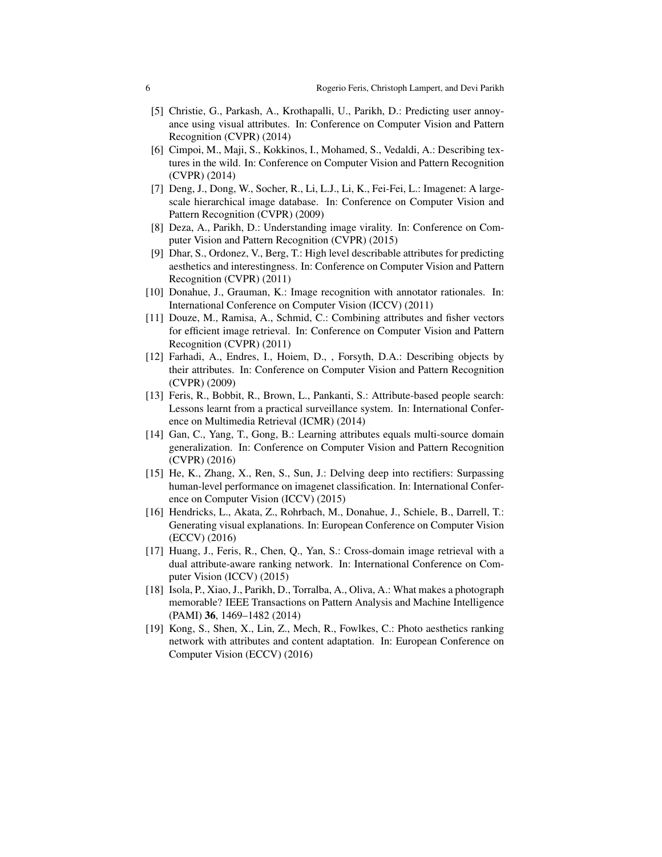- [5] Christie, G., Parkash, A., Krothapalli, U., Parikh, D.: Predicting user annoyance using visual attributes. In: Conference on Computer Vision and Pattern Recognition (CVPR) (2014)
- [6] Cimpoi, M., Maji, S., Kokkinos, I., Mohamed, S., Vedaldi, A.: Describing textures in the wild. In: Conference on Computer Vision and Pattern Recognition (CVPR) (2014)
- [7] Deng, J., Dong, W., Socher, R., Li, L.J., Li, K., Fei-Fei, L.: Imagenet: A largescale hierarchical image database. In: Conference on Computer Vision and Pattern Recognition (CVPR) (2009)
- [8] Deza, A., Parikh, D.: Understanding image virality. In: Conference on Computer Vision and Pattern Recognition (CVPR) (2015)
- [9] Dhar, S., Ordonez, V., Berg, T.: High level describable attributes for predicting aesthetics and interestingness. In: Conference on Computer Vision and Pattern Recognition (CVPR) (2011)
- [10] Donahue, J., Grauman, K.: Image recognition with annotator rationales. In: International Conference on Computer Vision (ICCV) (2011)
- [11] Douze, M., Ramisa, A., Schmid, C.: Combining attributes and fisher vectors for efficient image retrieval. In: Conference on Computer Vision and Pattern Recognition (CVPR) (2011)
- [12] Farhadi, A., Endres, I., Hoiem, D., , Forsyth, D.A.: Describing objects by their attributes. In: Conference on Computer Vision and Pattern Recognition (CVPR) (2009)
- [13] Feris, R., Bobbit, R., Brown, L., Pankanti, S.: Attribute-based people search: Lessons learnt from a practical surveillance system. In: International Conference on Multimedia Retrieval (ICMR) (2014)
- [14] Gan, C., Yang, T., Gong, B.: Learning attributes equals multi-source domain generalization. In: Conference on Computer Vision and Pattern Recognition (CVPR) (2016)
- [15] He, K., Zhang, X., Ren, S., Sun, J.: Delving deep into rectifiers: Surpassing human-level performance on imagenet classification. In: International Conference on Computer Vision (ICCV) (2015)
- [16] Hendricks, L., Akata, Z., Rohrbach, M., Donahue, J., Schiele, B., Darrell, T.: Generating visual explanations. In: European Conference on Computer Vision (ECCV) (2016)
- [17] Huang, J., Feris, R., Chen, Q., Yan, S.: Cross-domain image retrieval with a dual attribute-aware ranking network. In: International Conference on Computer Vision (ICCV) (2015)
- [18] Isola, P., Xiao, J., Parikh, D., Torralba, A., Oliva, A.: What makes a photograph memorable? IEEE Transactions on Pattern Analysis and Machine Intelligence (PAMI) 36, 1469–1482 (2014)
- [19] Kong, S., Shen, X., Lin, Z., Mech, R., Fowlkes, C.: Photo aesthetics ranking network with attributes and content adaptation. In: European Conference on Computer Vision (ECCV) (2016)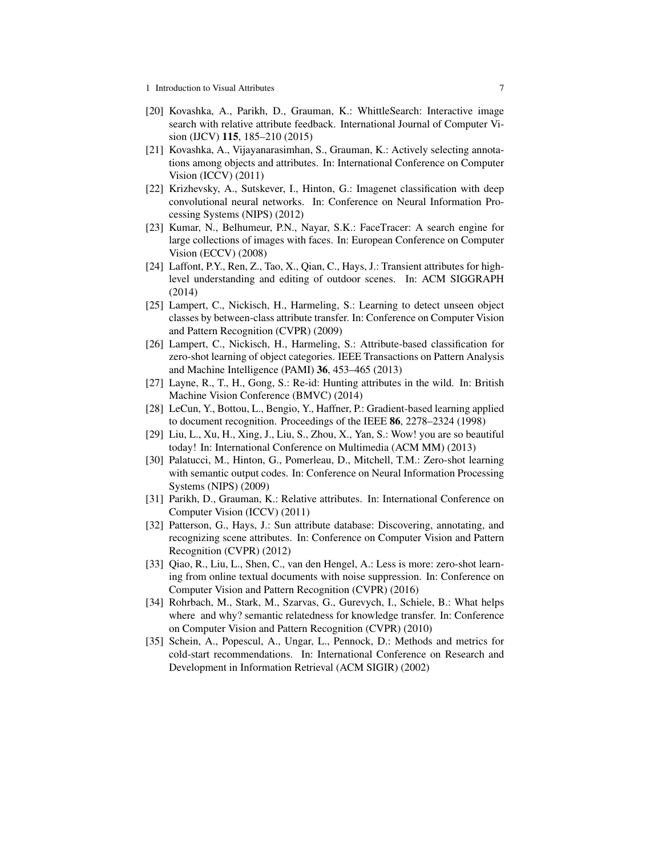- [20] Kovashka, A., Parikh, D., Grauman, K.: WhittleSearch: Interactive image search with relative attribute feedback. International Journal of Computer Vision (IJCV) 115, 185–210 (2015)
- [21] Kovashka, A., Vijayanarasimhan, S., Grauman, K.: Actively selecting annotations among objects and attributes. In: International Conference on Computer Vision (ICCV) (2011)
- [22] Krizhevsky, A., Sutskever, I., Hinton, G.: Imagenet classification with deep convolutional neural networks. In: Conference on Neural Information Processing Systems (NIPS) (2012)
- [23] Kumar, N., Belhumeur, P.N., Nayar, S.K.: FaceTracer: A search engine for large collections of images with faces. In: European Conference on Computer Vision (ECCV) (2008)
- [24] Laffont, P.Y., Ren, Z., Tao, X., Qian, C., Hays, J.: Transient attributes for highlevel understanding and editing of outdoor scenes. In: ACM SIGGRAPH (2014)
- [25] Lampert, C., Nickisch, H., Harmeling, S.: Learning to detect unseen object classes by between-class attribute transfer. In: Conference on Computer Vision and Pattern Recognition (CVPR) (2009)
- [26] Lampert, C., Nickisch, H., Harmeling, S.: Attribute-based classification for zero-shot learning of object categories. IEEE Transactions on Pattern Analysis and Machine Intelligence (PAMI) 36, 453–465 (2013)
- [27] Layne, R., T., H., Gong, S.: Re-id: Hunting attributes in the wild. In: British Machine Vision Conference (BMVC) (2014)
- [28] LeCun, Y., Bottou, L., Bengio, Y., Haffner, P.: Gradient-based learning applied to document recognition. Proceedings of the IEEE 86, 2278–2324 (1998)
- [29] Liu, L., Xu, H., Xing, J., Liu, S., Zhou, X., Yan, S.: Wow! you are so beautiful today! In: International Conference on Multimedia (ACM MM) (2013)
- [30] Palatucci, M., Hinton, G., Pomerleau, D., Mitchell, T.M.: Zero-shot learning with semantic output codes. In: Conference on Neural Information Processing Systems (NIPS) (2009)
- [31] Parikh, D., Grauman, K.: Relative attributes. In: International Conference on Computer Vision (ICCV) (2011)
- [32] Patterson, G., Hays, J.: Sun attribute database: Discovering, annotating, and recognizing scene attributes. In: Conference on Computer Vision and Pattern Recognition (CVPR) (2012)
- [33] Qiao, R., Liu, L., Shen, C., van den Hengel, A.: Less is more: zero-shot learning from online textual documents with noise suppression. In: Conference on Computer Vision and Pattern Recognition (CVPR) (2016)
- [34] Rohrbach, M., Stark, M., Szarvas, G., Gurevych, I., Schiele, B.: What helps where and why? semantic relatedness for knowledge transfer. In: Conference on Computer Vision and Pattern Recognition (CVPR) (2010)
- [35] Schein, A., Popescul, A., Ungar, L., Pennock, D.: Methods and metrics for cold-start recommendations. In: International Conference on Research and Development in Information Retrieval (ACM SIGIR) (2002)